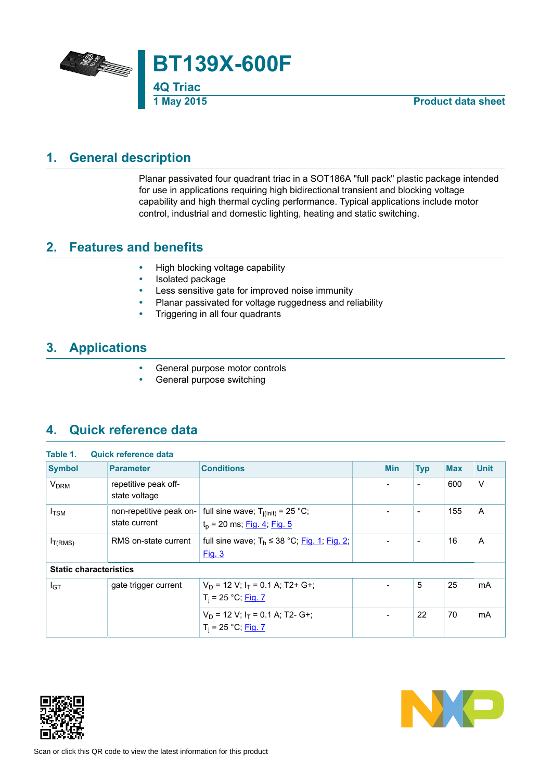

## **1. General description**

<span id="page-0-0"></span>Planar passivated four quadrant triac in a SOT186A "full pack" plastic package intended for use in applications requiring high bidirectional transient and blocking voltage capability and high thermal cycling performance. Typical applications include motor control, industrial and domestic lighting, heating and static switching.

## **2. Features and benefits**

- <span id="page-0-1"></span>• High blocking voltage capability
- Isolated package
- Less sensitive gate for improved noise immunity<br>• Planar passivated for voltage ruggedness and re
- Planar passivated for voltage ruggedness and reliability<br>• Triggering in all four quadrants
- Triggering in all four quadrants

## **3. Applications**

- <span id="page-0-2"></span>General purpose motor controls
- <span id="page-0-3"></span>General purpose switching

## **4. Quick reference data**

| <b>Symbol</b>                 | <b>Parameter</b>                         | <b>Conditions</b>                                                              | <b>Min</b> | <b>Typ</b>                   | <b>Max</b> | <b>Unit</b> |
|-------------------------------|------------------------------------------|--------------------------------------------------------------------------------|------------|------------------------------|------------|-------------|
| <b>V<sub>DRM</sub></b>        | repetitive peak off-<br>state voltage    |                                                                                |            | $\overline{\phantom{a}}$     | 600        | $\vee$      |
| $I_{TSM}$                     | non-repetitive peak on-<br>state current | full sine wave; $T_{i(init)} = 25$ °C;<br>$t_p$ = 20 ms; <u>Fig. 4; Fig. 5</u> |            | $\qquad \qquad \blacksquare$ | 155        | A           |
| I <sub>T(RMS)</sub>           | RMS on-state current                     | full sine wave; $T_h \le 38$ °C; Fig. 1; Fig. 2;<br><b>Fig. 3</b>              |            | $\qquad \qquad \blacksquare$ | 16         | A           |
| <b>Static characteristics</b> |                                          |                                                                                |            |                              |            |             |
| $I_{GT}$                      | gate trigger current                     | $V_D$ = 12 V; $I_T$ = 0.1 A; T2+ G+;<br>$T_i = 25 °C;$ Fig. 7                  |            | 5                            | 25         | mA          |
|                               |                                          | $V_D$ = 12 V; $I_T$ = 0.1 A; T2- G+;<br>$T_i = 25 °C;$ Fig. 7                  |            | 22                           | 70         | mA          |



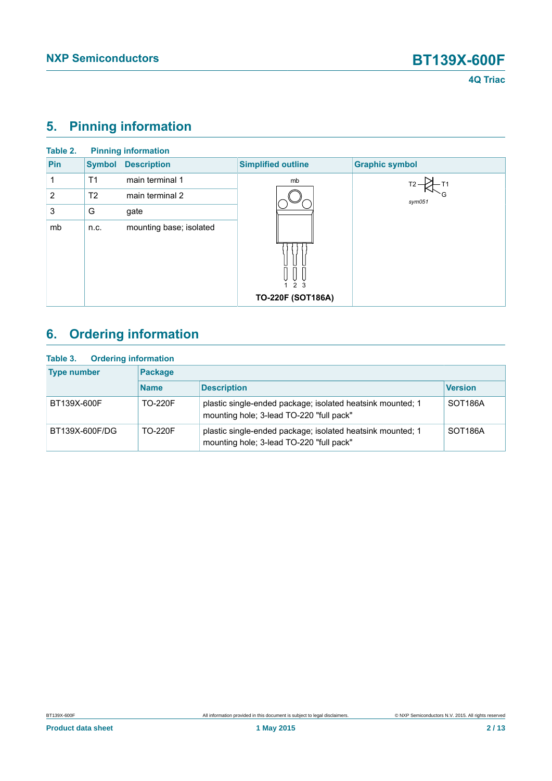## <span id="page-1-0"></span>**5. Pinning information**

| Table 2. |                | <b>Pinning information</b> |                           |                       |
|----------|----------------|----------------------------|---------------------------|-----------------------|
| Pin      | <b>Symbol</b>  | <b>Description</b>         | <b>Simplified outline</b> | <b>Graphic symbol</b> |
|          | T1             | main terminal 1            | mb                        |                       |
| 2        | T <sub>2</sub> | main terminal 2            |                           | sym051                |
| 3        | G              | gate                       |                           |                       |
| mb       | n.c.           | mounting base; isolated    |                           |                       |
|          |                |                            | 2 <sub>3</sub>            |                       |
|          |                |                            | TO-220F (SOT186A)         |                       |

# <span id="page-1-1"></span>**6. Ordering information**

| <b>Ordering information</b><br>Table 3. |                |                                                                                                        |                      |  |  |  |  |
|-----------------------------------------|----------------|--------------------------------------------------------------------------------------------------------|----------------------|--|--|--|--|
| <b>Type number</b>                      | <b>Package</b> |                                                                                                        |                      |  |  |  |  |
|                                         | <b>Name</b>    | <b>Description</b>                                                                                     | <b>Version</b>       |  |  |  |  |
| BT139X-600F                             | <b>TO-220F</b> | plastic single-ended package; isolated heatsink mounted; 1<br>mounting hole; 3-lead TO-220 "full pack" | SOT <sub>186</sub> A |  |  |  |  |
| BT139X-600F/DG                          | <b>TO-220F</b> | plastic single-ended package; isolated heatsink mounted; 1<br>mounting hole; 3-lead TO-220 "full pack" | SOT <sub>186</sub> A |  |  |  |  |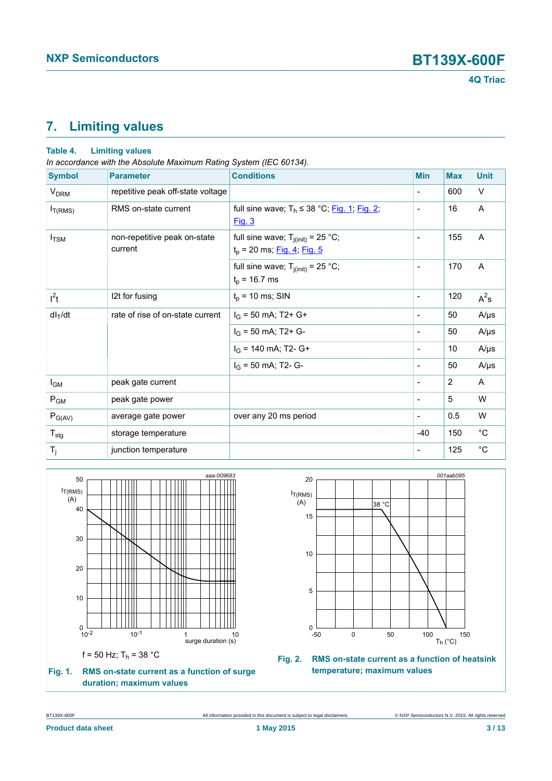## <span id="page-2-2"></span>**7. Limiting values**

### **Table 4. Limiting values**

*In accordance with the Absolute Maximum Rating System (IEC 60134).*

| <b>Symbol</b>          | <b>Parameter</b>                        | <b>Conditions</b>                                                       | <b>Min</b>               | <b>Max</b> | <b>Unit</b>       |
|------------------------|-----------------------------------------|-------------------------------------------------------------------------|--------------------------|------------|-------------------|
| <b>V<sub>DRM</sub></b> | repetitive peak off-state voltage       |                                                                         | $\overline{\phantom{a}}$ | 600        | V                 |
| $I_{T(RMS)}$           | RMS on-state current                    | full sine wave; $T_h \le 38$ °C; Fig. 1; Fig. 2;<br>Fig. 3              | $\overline{\phantom{a}}$ | 16         | A                 |
| $I_{TSM}$              | non-repetitive peak on-state<br>current | full sine wave; $T_{j(int)} = 25 °C$ ;<br>$t_p$ = 20 ms; Fig. 4; Fig. 5 | $\overline{\phantom{a}}$ | 155        | A                 |
|                        |                                         | full sine wave; $T_{j(int)} = 25$ °C;<br>$t_p$ = 16.7 ms                | $\overline{\phantom{a}}$ | 170        | A                 |
| $I^2t$                 | 12t for fusing                          | $t_p$ = 10 ms; SIN                                                      | $\overline{\phantom{a}}$ | 120        | $A^2s$            |
| $dl_T/dt$              | rate of rise of on-state current        | $I_G$ = 50 mA; T2+ G+                                                   | $\blacksquare$           | 50         | $A/\mu s$         |
|                        |                                         | $I_G$ = 50 mA; T2+ G-                                                   | $\overline{\phantom{a}}$ | 50         | $A/\mu s$         |
|                        |                                         | $I_G$ = 140 mA; T2- G+                                                  | $\overline{\phantom{a}}$ | 10         | $A/\mu s$         |
|                        |                                         | $I_G$ = 50 mA; T2- G-                                                   | $\overline{\phantom{a}}$ | 50         | $A/\mu s$         |
| $I_{GM}$               | peak gate current                       |                                                                         | $\overline{\phantom{a}}$ | 2          | A                 |
| $P_{GM}$               | peak gate power                         |                                                                         | $\overline{\phantom{a}}$ | 5          | W                 |
| $P_{G(AV)}$            | average gate power                      | over any 20 ms period                                                   | $\overline{\phantom{a}}$ | 0.5        | W                 |
| $T_{\sf stg}$          | storage temperature                     |                                                                         | $-40$                    | 150        | $^{\circ}{\rm C}$ |
| $T_j$                  | junction temperature                    |                                                                         | $\overline{\phantom{a}}$ | 125        | $^{\circ}$ C      |

<span id="page-2-0"></span>

<span id="page-2-1"></span>

**Fig. 2. RMS on-state current as a function of heatsink temperature; maximum values**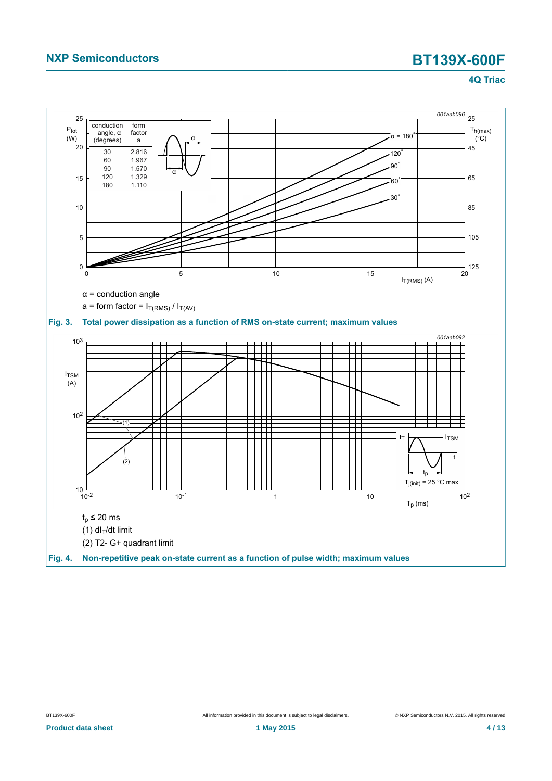<span id="page-3-1"></span><span id="page-3-0"></span>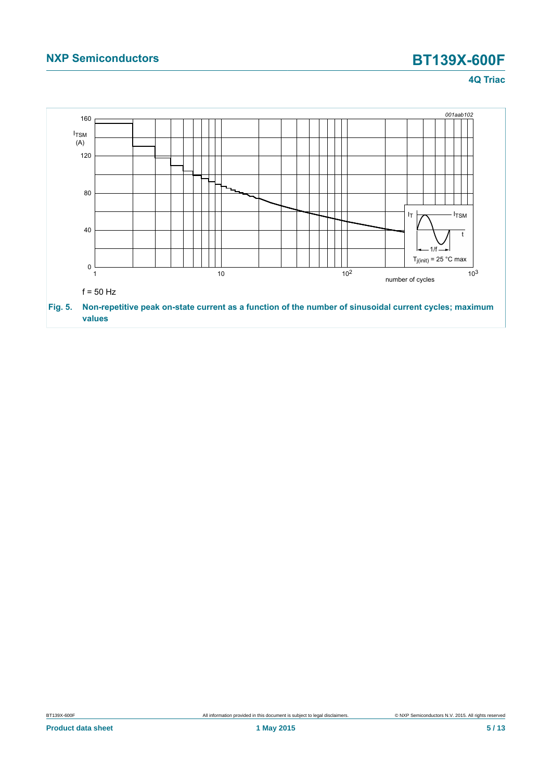## **NXP Semiconductors BT139X-600F**

**4Q Triac**

<span id="page-4-0"></span>

BT139X-600F All information provided in this document is subject to legal disclaimers. © NXP Semiconductors N.V. 2015. All rights reserved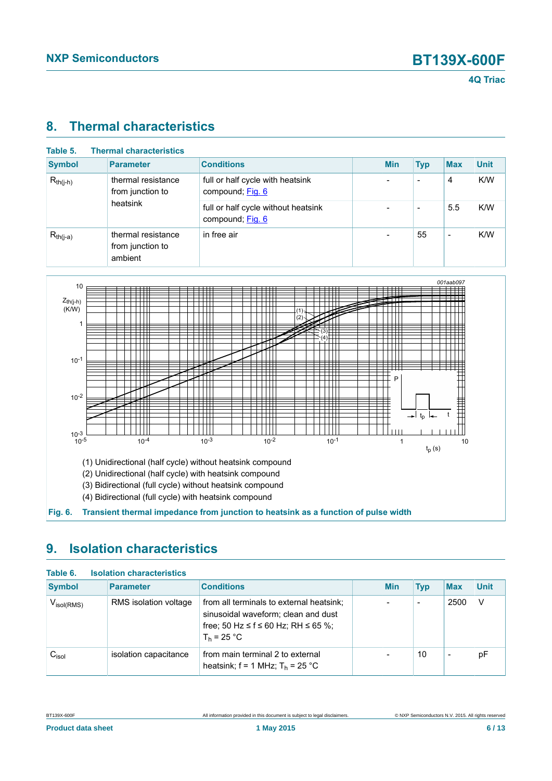### <span id="page-5-1"></span>**8. Thermal characteristics**

| Table 5.<br><b>Thermal characteristics</b> |                                                   |                                                         |  |            |                          |                          |             |
|--------------------------------------------|---------------------------------------------------|---------------------------------------------------------|--|------------|--------------------------|--------------------------|-------------|
| <b>Symbol</b>                              | <b>Parameter</b>                                  | <b>Conditions</b>                                       |  | <b>Min</b> | <b>Typ</b>               | <b>Max</b>               | <b>Unit</b> |
| $R_{th(j-h)}$                              | thermal resistance<br>from junction to            | full or half cycle with heatsink<br>compound; Fig. 6    |  |            | $\overline{\phantom{0}}$ | 4                        | K/W         |
|                                            | heatsink                                          | full or half cycle without heatsink<br>compound; Fig. 6 |  |            | $\overline{\phantom{0}}$ | 5.5                      | K/W         |
| $R_{th(j-a)}$                              | thermal resistance<br>from junction to<br>ambient | in free air                                             |  |            | 55                       | $\overline{\phantom{a}}$ | K/W         |

<span id="page-5-0"></span>

(1) Unidirectional (half cycle) without heatsink compound

(2) Unidirectional (half cycle) with heatsink compound

(3) Bidirectional (full cycle) without heatsink compound

<span id="page-5-2"></span>(4) Bidirectional (full cycle) with heatsink compound

**Fig. 6. Transient thermal impedance from junction to heatsink as a function of pulse width**

## **9. Isolation characteristics**

| Table 6.<br><b>Isolation characteristics</b> |                       |                                                                                                                                         |  |            |            |                          |             |  |
|----------------------------------------------|-----------------------|-----------------------------------------------------------------------------------------------------------------------------------------|--|------------|------------|--------------------------|-------------|--|
| <b>Symbol</b>                                | <b>Parameter</b>      | <b>Conditions</b>                                                                                                                       |  | <b>Min</b> | <b>Typ</b> | <b>Max</b>               | <b>Unit</b> |  |
| $V_{\text{isol(RMS)}}$                       | RMS isolation voltage | from all terminals to external heatsink;<br>sinusoidal waveform; clean and dust<br>free; 50 Hz ≤ f ≤ 60 Hz; RH ≤ 65 %;<br>$T_h$ = 25 °C |  |            | -          | 2500                     | V           |  |
| $\mathrm{C_{\mathrm{isol}}}$                 | isolation capacitance | from main terminal 2 to external<br>heatsink; $f = 1$ MHz; $T_h = 25$ °C                                                                |  |            | 10         | $\overline{\phantom{a}}$ | рF          |  |

| BT139X-600F |
|-------------|
|             |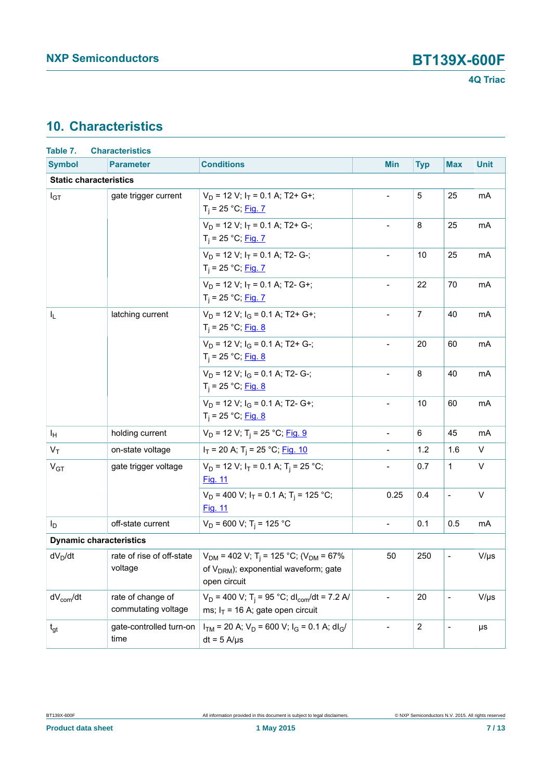## <span id="page-6-0"></span>**10. Characteristics**

| Table 7.                       | <b>Characteristics</b>                   |                                                                                                                                        |                          |                |                          |             |
|--------------------------------|------------------------------------------|----------------------------------------------------------------------------------------------------------------------------------------|--------------------------|----------------|--------------------------|-------------|
| <b>Symbol</b>                  | <b>Parameter</b>                         | <b>Conditions</b>                                                                                                                      | <b>Min</b>               | <b>Typ</b>     | <b>Max</b>               | <b>Unit</b> |
| <b>Static characteristics</b>  |                                          |                                                                                                                                        |                          |                |                          |             |
| $I_{GT}$                       | gate trigger current                     | $V_D$ = 12 V; $I_T$ = 0.1 A; T2+ G+;<br>$T_i = 25 °C;$ Fig. 7                                                                          |                          | 5              | 25                       | mA          |
|                                |                                          | $V_D$ = 12 V; $I_T$ = 0.1 A; T2+ G-;<br>$T_i = 25 °C;$ Fig. 7                                                                          | $\blacksquare$           | 8              | 25                       | mA          |
|                                |                                          | $V_D$ = 12 V; $I_T$ = 0.1 A; T2- G-;<br>$T_i = 25 °C;$ Fig. 7                                                                          |                          | 10             | 25                       | mA          |
|                                |                                          | $V_D$ = 12 V; $I_T$ = 0.1 A; T2- G+;<br>$T_i = 25 °C;$ Fig. 7                                                                          | $\overline{a}$           | 22             | 70                       | mA          |
| $I_{\mathsf{L}}$               | latching current                         | $V_D$ = 12 V; $I_G$ = 0.1 A; T2+ G+;<br>$T_i = 25 °C;$ Fig. 8                                                                          | $\blacksquare$           | $\overline{7}$ | 40                       | mA          |
|                                |                                          | $V_D$ = 12 V; $I_G$ = 0.1 A; T2+ G-;<br>$T_i = 25 °C;$ Fig. 8                                                                          |                          | 20             | 60                       | mA          |
|                                |                                          | $V_D$ = 12 V; $I_G$ = 0.1 A; T2- G-;<br>$T_i = 25 °C;$ Fig. 8                                                                          | $\mathbf{r}$             | 8              | 40                       | mA          |
|                                |                                          | $V_D$ = 12 V; $I_G$ = 0.1 A; T2- G+;<br>$T_i = 25 °C;$ Fig. 8                                                                          | $\blacksquare$           | 10             | 60                       | mA          |
| ΙH                             | holding current                          | $V_D$ = 12 V; T <sub>i</sub> = 25 °C; Fig. 9                                                                                           | $\overline{a}$           | 6              | 45                       | mA          |
| $V_T$                          | on-state voltage                         | $I_T$ = 20 A; T <sub>i</sub> = 25 °C; <u>Fig. 10</u>                                                                                   |                          | 1.2            | 1.6                      | V           |
| V <sub>GT</sub>                | gate trigger voltage                     | $V_D$ = 12 V; $I_T$ = 0.1 A; T <sub>i</sub> = 25 °C;<br>Fig. 11                                                                        |                          | 0.7            | $\mathbf{1}$             | V           |
|                                |                                          | $V_D$ = 400 V; $I_T$ = 0.1 A; T <sub>i</sub> = 125 °C;<br><b>Fig. 11</b>                                                               | 0.25                     | 0.4            | $\overline{\phantom{a}}$ | $\vee$      |
| $I_D$                          | off-state current                        | $V_D$ = 600 V; T <sub>i</sub> = 125 °C                                                                                                 | $\blacksquare$           | 0.1            | 0.5                      | mA          |
| <b>Dynamic characteristics</b> |                                          |                                                                                                                                        |                          |                |                          |             |
| $dV_D/dt$                      | rate of rise of off-state<br>voltage     | $V_{DM}$ = 402 V; T <sub>i</sub> = 125 °C; (V <sub>DM</sub> = 67%<br>of V <sub>DRM</sub> ); exponential waveform; gate<br>open circuit | 50                       | 250            | $\overline{\phantom{a}}$ | $V/\mu s$   |
| $dV_{com}/dt$                  | rate of change of<br>commutating voltage | $V_D$ = 400 V; T <sub>i</sub> = 95 °C; dl <sub>com</sub> /dt = 7.2 A/<br>ms; $I_T = 16$ A; gate open circuit                           | $\overline{\phantom{a}}$ | 20             | $\blacksquare$           | $V/\mu s$   |
| $t_{gt}$                       | gate-controlled turn-on<br>time          | $I_{TM}$ = 20 A; $V_D$ = 600 V; $I_G$ = 0.1 A; dl <sub>G</sub> /<br>$dt = 5$ A/ $\mu$ s                                                | $\overline{\phantom{a}}$ | $\overline{c}$ | $\blacksquare$           | μs          |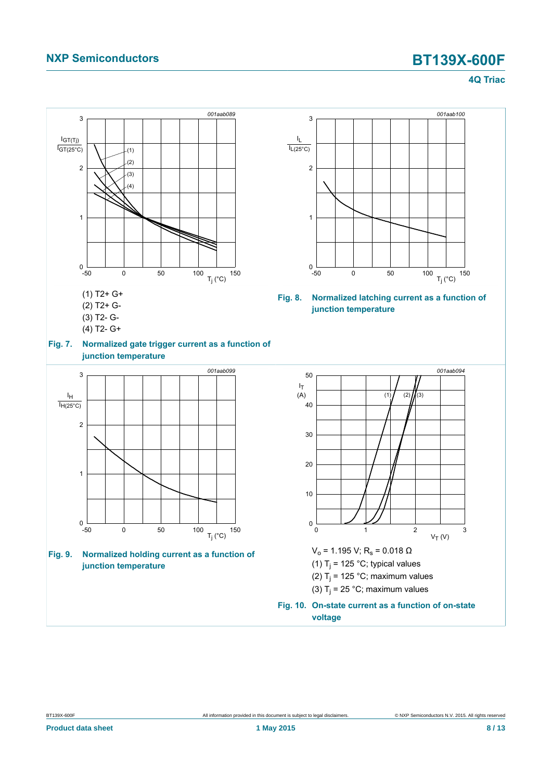## **NXP Semiconductors BT139X-600F**

<span id="page-7-3"></span><span id="page-7-1"></span>**4Q Triac**

<span id="page-7-2"></span><span id="page-7-0"></span>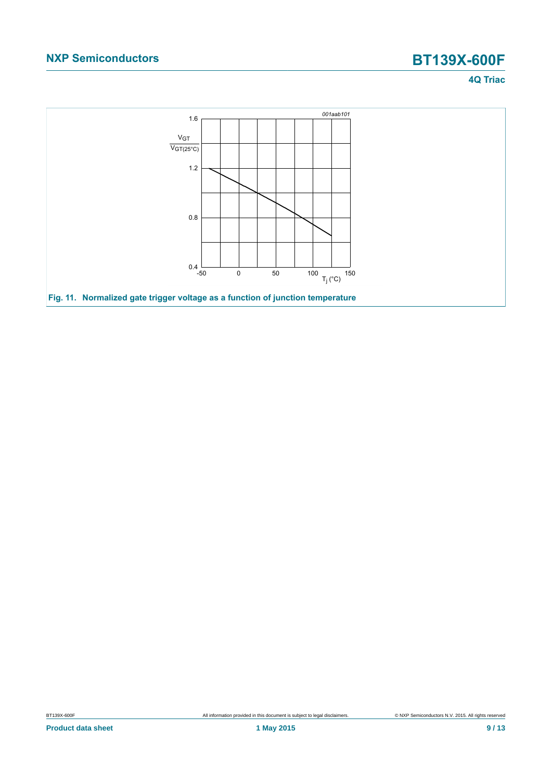## **NXP Semiconductors BT139X-600F**

### **4Q Triac**

<span id="page-8-0"></span>

BT139X-600F **All information provided in this document** is subject to legal disclaimers. **COMP COMP COMP CONTEXT** CONTEXT ALL rights reserved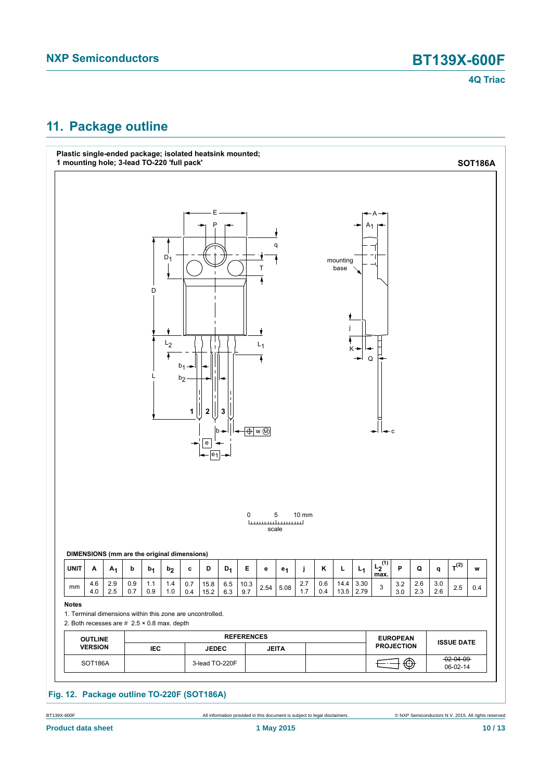

### <span id="page-9-0"></span>**11. Package outline**



BT139X-600F All information provided in this document is subject to legal disclaimers. © NXP Semiconductors N.V. 2015. All rights reserved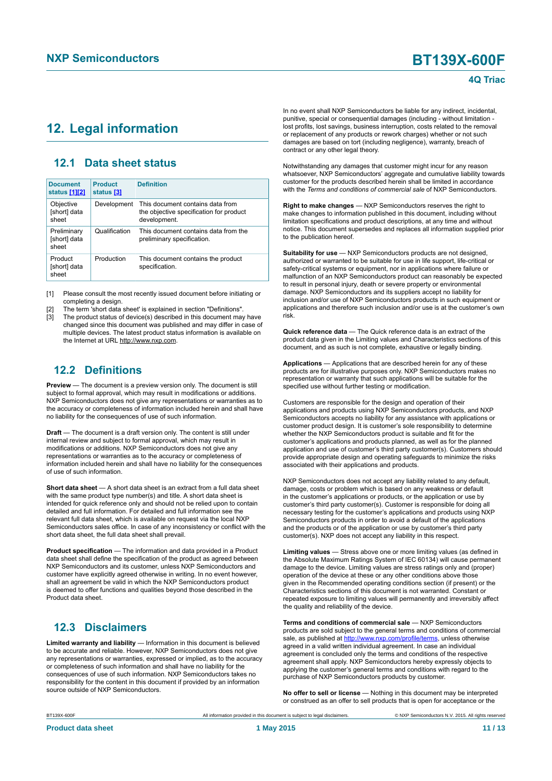### <span id="page-10-1"></span><span id="page-10-0"></span>**12. Legal information**

### <span id="page-10-2"></span>**12.1 Data sheet status**

| <b>Document</b><br>status [1][2]     | <b>Product</b><br>status [3] | <b>Definition</b>                                                                           |
|--------------------------------------|------------------------------|---------------------------------------------------------------------------------------------|
| Objective<br>[short] data<br>sheet   | Development                  | This document contains data from<br>the objective specification for product<br>development. |
| Preliminary<br>[short] data<br>sheet | Qualification                | This document contains data from the<br>preliminary specification.                          |
| Product<br>[short] data<br>sheet     | Production                   | This document contains the product<br>specification.                                        |

[1] Please consult the most recently issued document before initiating or completing a design.

[2] The term 'short data sheet' is explained in section "Definitions".

The product status of device(s) described in this document may have changed since this document was published and may differ in case of multiple devices. The latest product status information is available on the Internet at URL http://www.nxp.com.

### <span id="page-10-3"></span>**12.2 Definitions**

**Preview** — The document is a preview version only. The document is still subject to formal approval, which may result in modifications or additions. NXP Semiconductors does not give any representations or warranties as to the accuracy or completeness of information included herein and shall have no liability for the consequences of use of such information.

**Draft** — The document is a draft version only. The content is still under internal review and subject to formal approval, which may result in modifications or additions. NXP Semiconductors does not give any representations or warranties as to the accuracy or completeness of information included herein and shall have no liability for the consequences of use of such information.

**Short data sheet** — A short data sheet is an extract from a full data sheet with the same product type number(s) and title. A short data sheet is intended for quick reference only and should not be relied upon to contain detailed and full information. For detailed and full information see the relevant full data sheet, which is available on request via the local NXP Semiconductors sales office. In case of any inconsistency or conflict with the short data sheet, the full data sheet shall prevail.

**Product specification** — The information and data provided in a Product data sheet shall define the specification of the product as agreed between NXP Semiconductors and its customer, unless NXP Semiconductors and customer have explicitly agreed otherwise in writing. In no event however, shall an agreement be valid in which the NXP Semiconductors product is deemed to offer functions and qualities beyond those described in the Product data sheet.

### <span id="page-10-4"></span>**12.3 Disclaimers**

**Limited warranty and liability** — Information in this document is believed to be accurate and reliable. However, NXP Semiconductors does not give any representations or warranties, expressed or implied, as to the accuracy or completeness of such information and shall have no liability for the consequences of use of such information. NXP Semiconductors takes no responsibility for the content in this document if provided by an information source outside of NXP Semiconductors.

In no event shall NXP Semiconductors be liable for any indirect, incidental, punitive, special or consequential damages (including - without limitation lost profits, lost savings, business interruption, costs related to the removal or replacement of any products or rework charges) whether or not such damages are based on tort (including negligence), warranty, breach of contract or any other legal theory.

Notwithstanding any damages that customer might incur for any reason whatsoever, NXP Semiconductors' aggregate and cumulative liability towards customer for the products described herein shall be limited in accordance with the *Terms and conditions of commercial sale* of NXP Semiconductors.

**Right to make changes** — NXP Semiconductors reserves the right to make changes to information published in this document, including without limitation specifications and product descriptions, at any time and without notice. This document supersedes and replaces all information supplied prior to the publication hereof.

**Suitability for use** — NXP Semiconductors products are not designed, authorized or warranted to be suitable for use in life support, life-critical or safety-critical systems or equipment, nor in applications where failure or malfunction of an NXP Semiconductors product can reasonably be expected to result in personal injury, death or severe property or environmental damage. NXP Semiconductors and its suppliers accept no liability for inclusion and/or use of NXP Semiconductors products in such equipment or applications and therefore such inclusion and/or use is at the customer's own risk.

**Quick reference data** — The Quick reference data is an extract of the product data given in the Limiting values and Characteristics sections of this document, and as such is not complete, exhaustive or legally binding.

**Applications** — Applications that are described herein for any of these products are for illustrative purposes only. NXP Semiconductors makes no representation or warranty that such applications will be suitable for the specified use without further testing or modification.

Customers are responsible for the design and operation of their applications and products using NXP Semiconductors products, and NXP Semiconductors accepts no liability for any assistance with applications or customer product design. It is customer's sole responsibility to determine whether the NXP Semiconductors product is suitable and fit for the customer's applications and products planned, as well as for the planned application and use of customer's third party customer(s). Customers should provide appropriate design and operating safeguards to minimize the risks associated with their applications and products.

NXP Semiconductors does not accept any liability related to any default, damage, costs or problem which is based on any weakness or default in the customer's applications or products, or the application or use by customer's third party customer(s). Customer is responsible for doing all necessary testing for the customer's applications and products using NXP Semiconductors products in order to avoid a default of the applications and the products or of the application or use by customer's third party customer(s). NXP does not accept any liability in this respect.

**Limiting values** — Stress above one or more limiting values (as defined in the Absolute Maximum Ratings System of IEC 60134) will cause permanent damage to the device. Limiting values are stress ratings only and (proper) operation of the device at these or any other conditions above those given in the Recommended operating conditions section (if present) or the Characteristics sections of this document is not warranted. Constant or repeated exposure to limiting values will permanently and irreversibly affect the quality and reliability of the device.

**Terms and conditions of commercial sale** — NXP Semiconductors products are sold subject to the general terms and conditions of commercial sale, as published at<http://www.nxp.com/profile/terms>, unless otherwise agreed in a valid written individual agreement. In case an individual agreement is concluded only the terms and conditions of the respective agreement shall apply. NXP Semiconductors hereby expressly objects to applying the customer's general terms and conditions with regard to the purchase of NXP Semiconductors products by customer.

**No offer to sell or license** — Nothing in this document may be interpreted or construed as an offer to sell products that is open for acceptance or the

All information provided in this document is subject to legal disclaimers. <br>
© NXP Semiconductors N.V. 2015. All rights reserved

| BT139X-600F |  |
|-------------|--|
|-------------|--|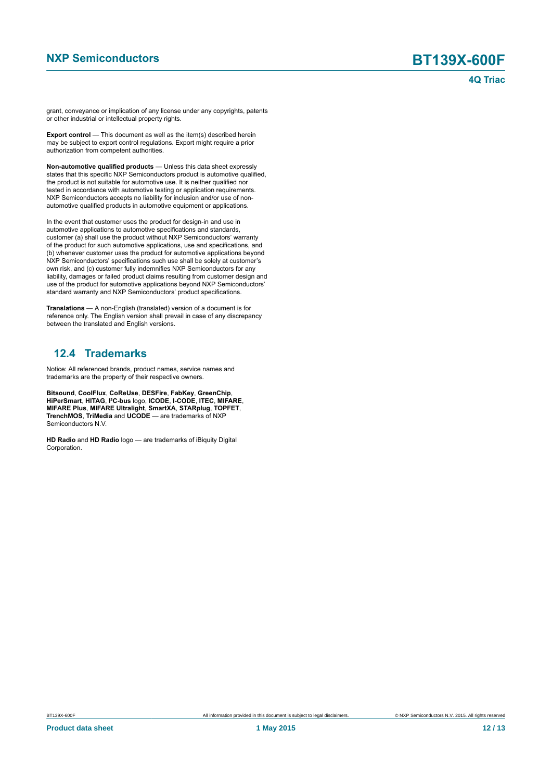grant, conveyance or implication of any license under any copyrights, patents or other industrial or intellectual property rights.

**Export control** — This document as well as the item(s) described herein may be subject to export control regulations. Export might require a prior authorization from competent authorities.

**Non-automotive qualified products** — Unless this data sheet expressly states that this specific NXP Semiconductors product is automotive qualified, the product is not suitable for automotive use. It is neither qualified nor tested in accordance with automotive testing or application requirements. NXP Semiconductors accepts no liability for inclusion and/or use of nonautomotive qualified products in automotive equipment or applications.

In the event that customer uses the product for design-in and use in automotive applications to automotive specifications and standards, customer (a) shall use the product without NXP Semiconductors' warranty of the product for such automotive applications, use and specifications, and (b) whenever customer uses the product for automotive applications beyond NXP Semiconductors' specifications such use shall be solely at customer's own risk, and (c) customer fully indemnifies NXP Semiconductors for any liability, damages or failed product claims resulting from customer design and use of the product for automotive applications beyond NXP Semiconductors' standard warranty and NXP Semiconductors' product specifications.

**Translations** — A non-English (translated) version of a document is for reference only. The English version shall prevail in case of any discrepancy between the translated and English versions.

### <span id="page-11-0"></span>**12.4 Trademarks**

Notice: All referenced brands, product names, service names and trademarks are the property of their respective owners.

**Bitsound**, **CoolFlux**, **CoReUse**, **DESFire**, **FabKey**, **GreenChip**, **HiPerSmart**, **HITAG**, **I²C-bus** logo, **ICODE**, **I-CODE**, **ITEC**, **MIFARE**, **MIFARE Plus**, **MIFARE Ultralight**, **SmartXA**, **STARplug**, **TOPFET**, **TrenchMOS**, **TriMedia** and **UCODE** — are trademarks of NXP Semiconductors N.V.

**HD Radio** and **HD Radio** logo — are trademarks of iBiquity Digital Corporation.